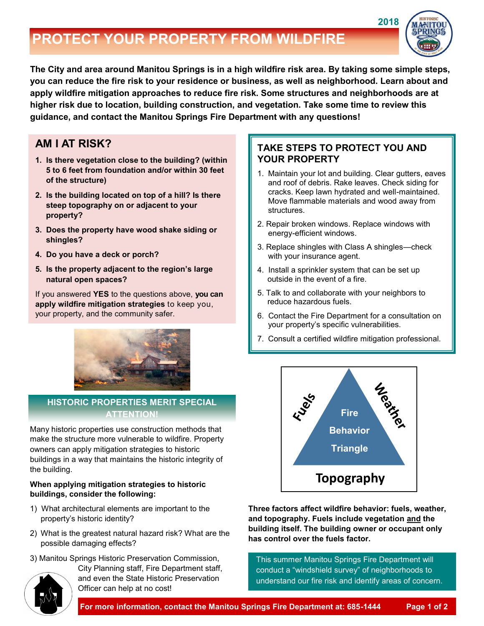# **PROTECT YOUR PROPERTY FROM WILDFIRE**



**The City and area around Manitou Springs is in a high wildfire risk area. By taking some simple steps, you can reduce the fire risk to your residence or business, as well as neighborhood. Learn about and apply wildfire mitigation approaches to reduce fire risk. Some structures and neighborhoods are at higher risk due to location, building construction, and vegetation. Take some time to review this guidance, and contact the Manitou Springs Fire Department with any questions!**

### **AM I AT RISK?**

- **1. Is there vegetation close to the building? (within 5 to 6 feet from foundation and/or within 30 feet of the structure)**
- **2. Is the building located on top of a hill? Is there steep topography on or adjacent to your property?**
- **3. Does the property have wood shake siding or shingles?**
- **4. Do you have a deck or porch?**
- **5. Is the property adjacent to the region's large natural open spaces?**

If you answered **YES** to the questions above, **you can apply wildfire mitigation strategies** to keep you, your property, and the community safer.



### **HISTORIC PROPERTIES MERIT SPECIAL ATTENTION!**

Many historic properties use construction methods that make the structure more vulnerable to wildfire. Property owners can apply mitigation strategies to historic buildings in a way that maintains the historic integrity of the building.

#### **When applying mitigation strategies to historic buildings, consider the following:**

- 1) What architectural elements are important to the property's historic identity?
- 2) What is the greatest natural hazard risk? What are the possible damaging effects?
- 3) Manitou Springs Historic Preservation Commission, City Planning staff, Fire Department staff,

and even the State Historic Preservation Officer can help at no cost!

### **TAKE STEPS TO PROTECT YOU AND YOUR PROPERTY**

- 1. Maintain your lot and building. Clear gutters, eaves and roof of debris. Rake leaves. Check siding for cracks. Keep lawn hydrated and well-maintained. Move flammable materials and wood away from structures.
- 2. Repair broken windows. Replace windows with energy-efficient windows.
- 3. Replace shingles with Class A shingles—check with your insurance agent.
- 4. Install a sprinkler system that can be set up outside in the event of a fire.
- 5. Talk to and collaborate with your neighbors to reduce hazardous fuels.
- 6. Contact the Fire Department for a consultation on your property's specific vulnerabilities.
- 7. Consult a certified wildfire mitigation professional.



**Three factors affect wildfire behavior: fuels, weather, and topography. Fuels include vegetation and the building itself. The building owner or occupant only has control over the fuels factor.**

This summer Manitou Springs Fire Department will conduct a "windshield survey" of neighborhoods to understand our fire risk and identify areas of concern.